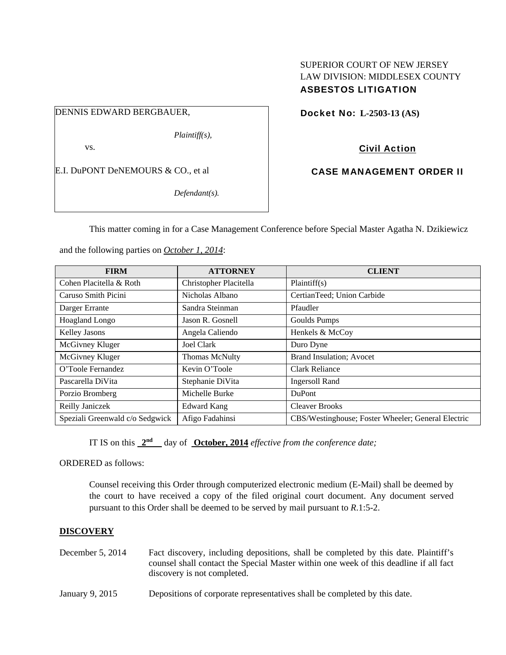# SUPERIOR COURT OF NEW JERSEY LAW DIVISION: MIDDLESEX COUNTY ASBESTOS LITIGATION

DENNIS EDWARD BERGBAUER,

*Plaintiff(s),* 

vs.

E.I. DuPONT DeNEMOURS & CO., et al

*Defendant(s).* 

Docket No: **L-2503-13 (AS)** 

Civil Action

CASE MANAGEMENT ORDER II

This matter coming in for a Case Management Conference before Special Master Agatha N. Dzikiewicz

and the following parties on *October 1, 2014*:

| <b>FIRM</b>                     | <b>ATTORNEY</b>        | <b>CLIENT</b>                                      |
|---------------------------------|------------------------|----------------------------------------------------|
| Cohen Placitella & Roth         | Christopher Placitella | Plaintiff(s)                                       |
| Caruso Smith Picini             | Nicholas Albano        | CertianTeed; Union Carbide                         |
| Darger Errante                  | Sandra Steinman        | Pfaudler                                           |
| Hoagland Longo                  | Jason R. Gosnell       | <b>Goulds Pumps</b>                                |
| Kelley Jasons                   | Angela Caliendo        | Henkels & McCoy                                    |
| McGivney Kluger                 | Joel Clark             | Duro Dyne                                          |
| McGivney Kluger                 | <b>Thomas McNulty</b>  | <b>Brand Insulation; Avocet</b>                    |
| O'Toole Fernandez               | Kevin O'Toole          | Clark Reliance                                     |
| Pascarella DiVita               | Stephanie DiVita       | <b>Ingersoll Rand</b>                              |
| Porzio Bromberg                 | Michelle Burke         | DuPont                                             |
| Reilly Janiczek                 | Edward Kang            | <b>Cleaver Brooks</b>                              |
| Speziali Greenwald c/o Sedgwick | Afigo Fadahinsi        | CBS/Westinghouse; Foster Wheeler; General Electric |

IT IS on this  $2^{nd}$  day of **October, 2014** *effective from the conference date;* 

ORDERED as follows:

Counsel receiving this Order through computerized electronic medium (E-Mail) shall be deemed by the court to have received a copy of the filed original court document. Any document served pursuant to this Order shall be deemed to be served by mail pursuant to *R*.1:5-2.

## **DISCOVERY**

- December 5, 2014 Fact discovery, including depositions, shall be completed by this date. Plaintiff's counsel shall contact the Special Master within one week of this deadline if all fact discovery is not completed.
- January 9, 2015 Depositions of corporate representatives shall be completed by this date.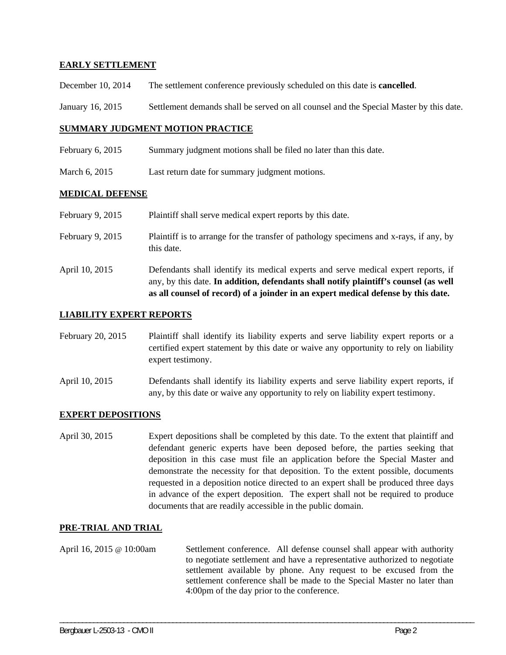# **EARLY SETTLEMENT**

- December 10, 2014 The settlement conference previously scheduled on this date is **cancelled**.
- January 16, 2015 Settlement demands shall be served on all counsel and the Special Master by this date.

#### **SUMMARY JUDGMENT MOTION PRACTICE**

- February 6, 2015 Summary judgment motions shall be filed no later than this date.
- March 6, 2015 Last return date for summary judgment motions.

#### **MEDICAL DEFENSE**

- February 9, 2015 Plaint if shall serve medical expert reports by this date.
- February 9, 2015 Plaintiff is to arrange for the transfer of pathology specimens and x-rays, if any, by this date.
- April 10, 2015 Defendants shall identify its medical experts and serve medical expert reports, if any, by this date. **In addition, defendants shall notify plaintiff's counsel (as well as all counsel of record) of a joinder in an expert medical defense by this date.**

#### **LIABILITY EXPERT REPORTS**

- February 20, 2015 Plaintiff shall identify its liability experts and serve liability expert reports or a certified expert statement by this date or waive any opportunity to rely on liability expert testimony.
- April 10, 2015 Defendants shall identify its liability experts and serve liability expert reports, if any, by this date or waive any opportunity to rely on liability expert testimony.

## **EXPERT DEPOSITIONS**

April 30, 2015 Expert depositions shall be completed by this date. To the extent that plaintiff and defendant generic experts have been deposed before, the parties seeking that deposition in this case must file an application before the Special Master and demonstrate the necessity for that deposition. To the extent possible, documents requested in a deposition notice directed to an expert shall be produced three days in advance of the expert deposition. The expert shall not be required to produce documents that are readily accessible in the public domain.

## **PRE-TRIAL AND TRIAL**

April 16, 2015 @ 10:00am Settlement conference. All defense counsel shall appear with authority to negotiate settlement and have a representative authorized to negotiate settlement available by phone. Any request to be excused from the settlement conference shall be made to the Special Master no later than 4:00pm of the day prior to the conference.

\_\_\_\_\_\_\_\_\_\_\_\_\_\_\_\_\_\_\_\_\_\_\_\_\_\_\_\_\_\_\_\_\_\_\_\_\_\_\_\_\_\_\_\_\_\_\_\_\_\_\_\_\_\_\_\_\_\_\_\_\_\_\_\_\_\_\_\_\_\_\_\_\_\_\_\_\_\_\_\_\_\_\_\_\_\_\_\_\_\_\_\_\_\_\_\_\_\_\_\_\_\_\_\_\_\_\_\_\_\_